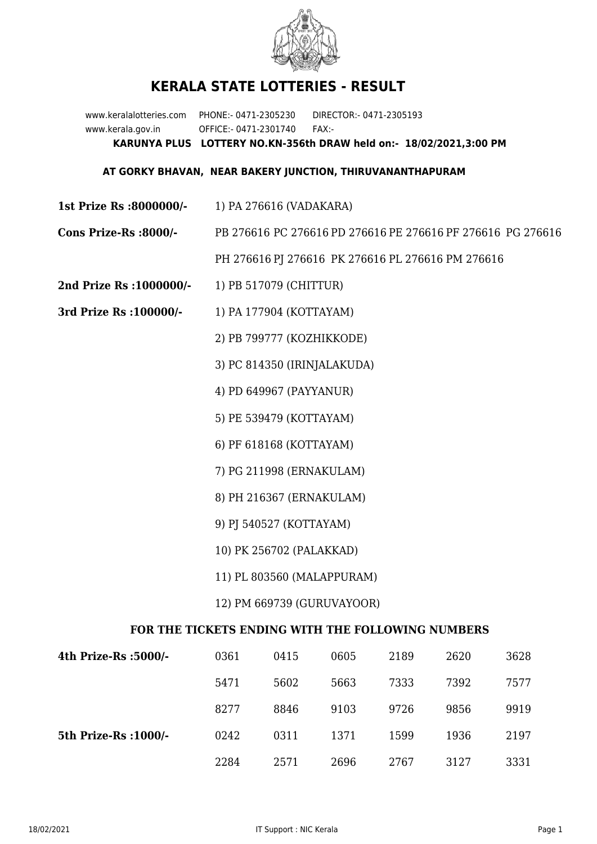

## **KERALA STATE LOTTERIES - RESULT**

www.keralalotteries.com PHONE:- 0471-2305230 DIRECTOR:- 0471-2305193 www.kerala.gov.in OFFICE:- 0471-2301740 FAX:- **KARUNYA PLUS LOTTERY NO.KN-356th DRAW held on:- 18/02/2021,3:00 PM**

## **AT GORKY BHAVAN, NEAR BAKERY JUNCTION, THIRUVANANTHAPURAM**

- **1st Prize Rs :8000000/-** 1) PA 276616 (VADAKARA)
- **Cons Prize-Rs :8000/-** PB 276616 PC 276616 PD 276616 PE 276616 PF 276616 PG 276616

PH 276616 PJ 276616 PK 276616 PL 276616 PM 276616

- **2nd Prize Rs :1000000/-** 1) PB 517079 (CHITTUR)
- **3rd Prize Rs :100000/-** 1) PA 177904 (KOTTAYAM)
	- 2) PB 799777 (KOZHIKKODE)
	- 3) PC 814350 (IRINJALAKUDA)
	- 4) PD 649967 (PAYYANUR)
	- 5) PE 539479 (KOTTAYAM)
	- 6) PF 618168 (KOTTAYAM)
	- 7) PG 211998 (ERNAKULAM)
	- 8) PH 216367 (ERNAKULAM)
	- 9) PJ 540527 (KOTTAYAM)
	- 10) PK 256702 (PALAKKAD)
	- 11) PL 803560 (MALAPPURAM)
	- 12) PM 669739 (GURUVAYOOR)

## **FOR THE TICKETS ENDING WITH THE FOLLOWING NUMBERS**

| 4th Prize-Rs :5000/-  | 0361 | 0415 | 0605 | 2189 | 2620 | 3628 |
|-----------------------|------|------|------|------|------|------|
|                       | 5471 | 5602 | 5663 | 7333 | 7392 | 7577 |
|                       | 8277 | 8846 | 9103 | 9726 | 9856 | 9919 |
| 5th Prize-Rs : 1000/- | 0242 | 0311 | 1371 | 1599 | 1936 | 2197 |
|                       | 2284 | 2571 | 2696 | 2767 | 3127 | 3331 |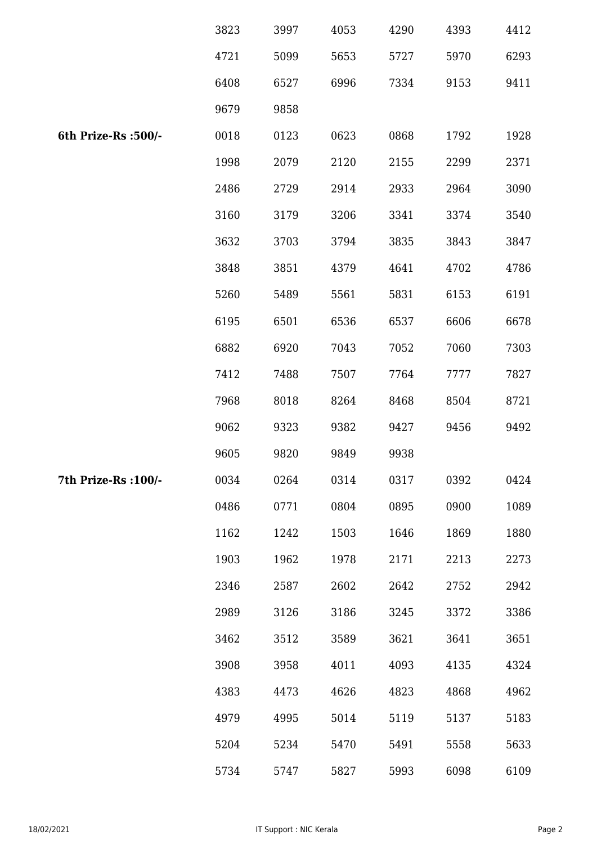|                      | 3823 | 3997 | 4053 | 4290 | 4393 | 4412 |
|----------------------|------|------|------|------|------|------|
|                      | 4721 | 5099 | 5653 | 5727 | 5970 | 6293 |
|                      | 6408 | 6527 | 6996 | 7334 | 9153 | 9411 |
|                      | 9679 | 9858 |      |      |      |      |
| 6th Prize-Rs :500/-  | 0018 | 0123 | 0623 | 0868 | 1792 | 1928 |
|                      | 1998 | 2079 | 2120 | 2155 | 2299 | 2371 |
|                      | 2486 | 2729 | 2914 | 2933 | 2964 | 3090 |
|                      | 3160 | 3179 | 3206 | 3341 | 3374 | 3540 |
|                      | 3632 | 3703 | 3794 | 3835 | 3843 | 3847 |
|                      | 3848 | 3851 | 4379 | 4641 | 4702 | 4786 |
|                      | 5260 | 5489 | 5561 | 5831 | 6153 | 6191 |
|                      | 6195 | 6501 | 6536 | 6537 | 6606 | 6678 |
|                      | 6882 | 6920 | 7043 | 7052 | 7060 | 7303 |
|                      | 7412 | 7488 | 7507 | 7764 | 7777 | 7827 |
|                      | 7968 | 8018 | 8264 | 8468 | 8504 | 8721 |
|                      | 9062 | 9323 | 9382 | 9427 | 9456 | 9492 |
|                      | 9605 | 9820 | 9849 | 9938 |      |      |
| 7th Prize-Rs : 100/- | 0034 | 0264 | 0314 | 0317 | 0392 | 0424 |
|                      | 0486 | 0771 | 0804 | 0895 | 0900 | 1089 |
|                      | 1162 | 1242 | 1503 | 1646 | 1869 | 1880 |
|                      | 1903 | 1962 | 1978 | 2171 | 2213 | 2273 |
|                      | 2346 | 2587 | 2602 | 2642 | 2752 | 2942 |
|                      | 2989 | 3126 | 3186 | 3245 | 3372 | 3386 |
|                      | 3462 | 3512 | 3589 | 3621 | 3641 | 3651 |
|                      | 3908 | 3958 | 4011 | 4093 | 4135 | 4324 |
|                      | 4383 | 4473 | 4626 | 4823 | 4868 | 4962 |
|                      | 4979 | 4995 | 5014 | 5119 | 5137 | 5183 |
|                      | 5204 | 5234 | 5470 | 5491 | 5558 | 5633 |
|                      | 5734 | 5747 | 5827 | 5993 | 6098 | 6109 |